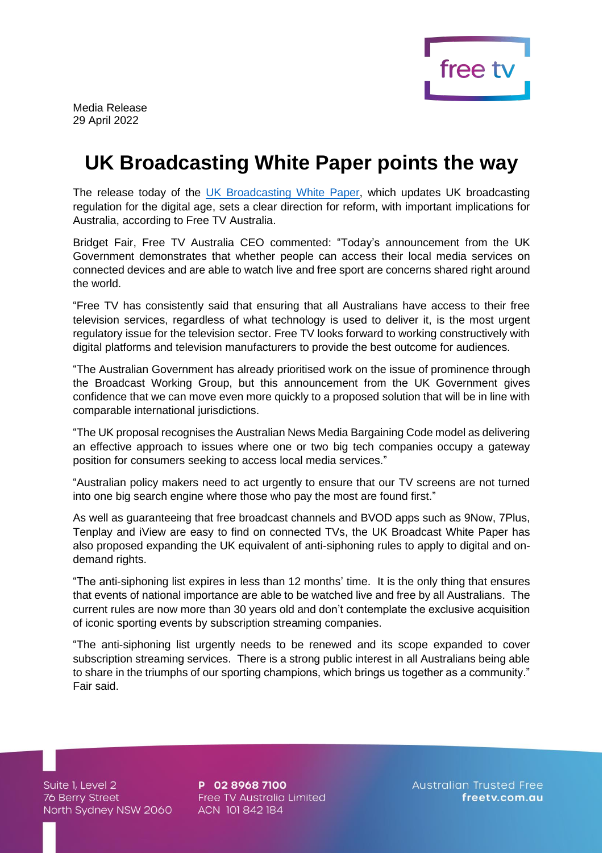

Media Release 29 April 2022

## **UK Broadcasting White Paper points the way**

The release today of the [UK Broadcasting White Paper,](https://www.gov.uk/government/publications/up-next-the-governments-vision-for-the-broadcasting-sector/up-next-the-governments-vision-for-the-broadcasting-sector) which updates UK broadcasting regulation for the digital age, sets a clear direction for reform, with important implications for Australia, according to Free TV Australia.

Bridget Fair, Free TV Australia CEO commented: "Today's announcement from the UK Government demonstrates that whether people can access their local media services on connected devices and are able to watch live and free sport are concerns shared right around the world.

"Free TV has consistently said that ensuring that all Australians have access to their free television services, regardless of what technology is used to deliver it, is the most urgent regulatory issue for the television sector. Free TV looks forward to working constructively with digital platforms and television manufacturers to provide the best outcome for audiences.

"The Australian Government has already prioritised work on the issue of prominence through the Broadcast Working Group, but this announcement from the UK Government gives confidence that we can move even more quickly to a proposed solution that will be in line with comparable international jurisdictions.

"The UK proposal recognises the Australian News Media Bargaining Code model as delivering an effective approach to issues where one or two big tech companies occupy a gateway position for consumers seeking to access local media services."

"Australian policy makers need to act urgently to ensure that our TV screens are not turned into one big search engine where those who pay the most are found first."

As well as guaranteeing that free broadcast channels and BVOD apps such as 9Now, 7Plus, Tenplay and iView are easy to find on connected TVs, the UK Broadcast White Paper has also proposed expanding the UK equivalent of anti-siphoning rules to apply to digital and ondemand rights.

"The anti-siphoning list expires in less than 12 months' time. It is the only thing that ensures that events of national importance are able to be watched live and free by all Australians. The current rules are now more than 30 years old and don't contemplate the exclusive acquisition of iconic sporting events by subscription streaming companies.

"The anti-siphoning list urgently needs to be renewed and its scope expanded to cover subscription streaming services. There is a strong public interest in all Australians being able to share in the triumphs of our sporting champions, which brings us together as a community." Fair said.

Suite 1, Level 2 Suite I, Level 2<br>76 Berry Street North Sydney NSW 2060

P 02 8968 7100 Free TV Australia Limited ACN 101842184

**Australian Trusted Free** freetv.com.au